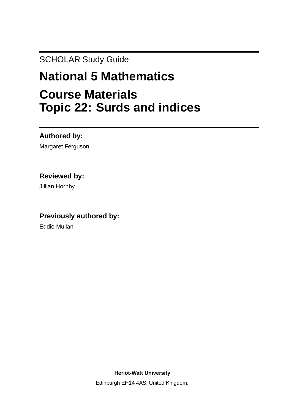SCHOLAR Study Guide

# **National 5 Mathematics Course Materials Topic 22: Surds and indices**

**Authored by:**

Margaret Ferguson

# **Reviewed by:**

Jillian Hornby

# **Previously authored by:**

Eddie Mullan

**Heriot-Watt University**

Edinburgh EH14 4AS, United Kingdom.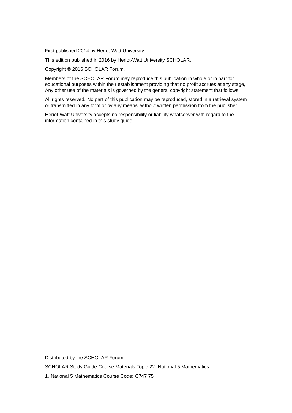First published 2014 by Heriot-Watt University.

This edition published in 2016 by Heriot-Watt University SCHOLAR.

Copyright © 2016 SCHOLAR Forum.

Members of the SCHOLAR Forum may reproduce this publication in whole or in part for educational purposes within their establishment providing that no profit accrues at any stage, Any other use of the materials is governed by the general copyright statement that follows.

All rights reserved. No part of this publication may be reproduced, stored in a retrieval system or transmitted in any form or by any means, without written permission from the publisher.

Heriot-Watt University accepts no responsibility or liability whatsoever with regard to the information contained in this study guide.

Distributed by the SCHOLAR Forum. SCHOLAR Study Guide Course Materials Topic 22: National 5 Mathematics 1. National 5 Mathematics Course Code: C747 75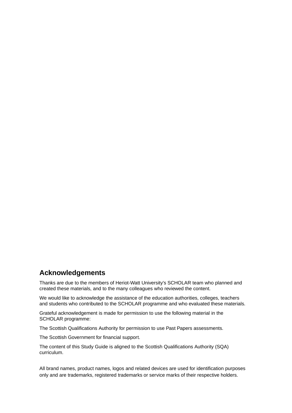# **Acknowledgements**

Thanks are due to the members of Heriot-Watt University's SCHOLAR team who planned and created these materials, and to the many colleagues who reviewed the content.

We would like to acknowledge the assistance of the education authorities, colleges, teachers and students who contributed to the SCHOLAR programme and who evaluated these materials.

Grateful acknowledgement is made for permission to use the following material in the SCHOLAR programme:

The Scottish Qualifications Authority for permission to use Past Papers assessments.

The Scottish Government for financial support.

The content of this Study Guide is aligned to the Scottish Qualifications Authority (SQA) curriculum.

All brand names, product names, logos and related devices are used for identification purposes only and are trademarks, registered trademarks or service marks of their respective holders.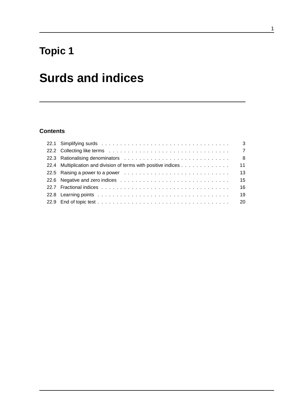# **Topic 1**

# **Surds and indices**

# **Contents**

|                                                                 | - 8 |
|-----------------------------------------------------------------|-----|
| 22.4 Multiplication and division of terms with positive indices | 11  |
|                                                                 | 13  |
|                                                                 | 15  |
|                                                                 | 16  |
|                                                                 | 19  |
|                                                                 |     |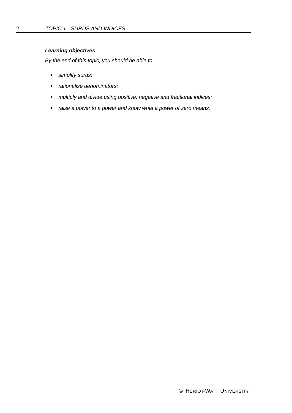### *Learning objectives*

*By the end of this topic, you should be able to*

- *simplify surds;*
- *rationalise denominators;*
- *multiply and divide using positive, negative and fractional indices;*
- *raise a power to a power and know what a power of zero means.*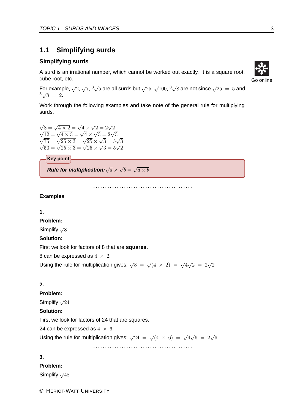# **1.1 Simplifying surds**

## **Simplifying surds**

A surd is an irrational number, which cannot be worked out exactly. It is a square root, cube root, etc.

For example,  $\sqrt{2}$ ,  $\sqrt{7}$ ,  $\sqrt[3]{5}$  are all surds but  $\sqrt{25}$ ,  $\sqrt{100}$ ,  $\sqrt[3]{8}$  are not since  $\sqrt{25}$  = 5 and  $\sqrt[3]{8}=2.$ 

Work through the following examples and take note of the general rule for multiplying surds.

 $\sqrt{8} = \sqrt{4 \times 2} = \sqrt{4} \times \sqrt{2} = 2\sqrt{2}$  $\sqrt{12} = \sqrt{4 \times 3} = \sqrt{4} \times \sqrt{3} = 2\sqrt{3}$  $\sqrt{75} = \sqrt{25 \times 3} = \sqrt{25} \times \sqrt{3} = 5\sqrt{3}$  $\sqrt{50} = \sqrt{25 \times 3} = \sqrt{25} \times \sqrt{3} = 5\sqrt{2}$ 

**Key point**

*Rule for multiplication:* $\sqrt{a} \times \sqrt{b} = \sqrt{a \times b}$ 

..........................................

#### **Examples**

#### **1.**

#### **Problem:**

Simplify √8

#### **Solution:**

First we look for factors of 8 that are **[squares](#page-25-0)**.

8 can be expressed as  $4 \times 2$ .

Using the rule for multiplication gives:  $\sqrt{8} = \sqrt{4 \times 2} = \sqrt{4}\sqrt{2} = 2\sqrt{2}$ 

..........................................

# **2.**

## **Problem:**

Simplify  $\sqrt{24}$ 

#### **Solution:**

First we look for factors of 24 that are squares.

24 can be expressed as  $4 \times 6$ .

Using the rule for multiplication gives:  $\sqrt{24} = \sqrt{(4 \times 6)} = \sqrt{4}\sqrt{6} = 2\sqrt{6}$ 

..........................................

## **3.**

**Problem:**

Simplify √48

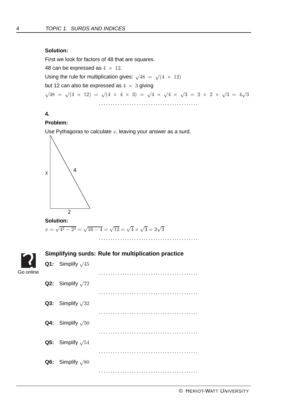#### **Solution:**

First we look for factors of 48 that are squares.

48 can be expressed as  $4 \times 12$ .

Using the rule for multiplication gives:  $\sqrt{48} = \sqrt{(4 \times 12)}$ 

but 12 can also be expressed as  $4 \times 3$  giving

 $\sqrt{48} = \sqrt{(4 \times 12)} = \sqrt{(4 \times 4 \times 3)} = \sqrt{4} \times \sqrt{4} \times \sqrt{3} = 2 \times 2 \times \sqrt{3} = 4\sqrt{3}$ 

..........................................

## **4.**

## **Problem:**

Use Pythagoras to calculate *x*, leaving your answer as a surd.



# **Solution:**  $x = \sqrt{4^2 - 2^2} = \sqrt{16 - 4} = \sqrt{12} = \sqrt{4} \times \sqrt{3} = 2\sqrt{3}$

<span id="page-7-0"></span>

|                   | Simplifying surds: Rule for multiplication practice |                                 |  |  |
|-------------------|-----------------------------------------------------|---------------------------------|--|--|
| $  \mathcal{S}  $ |                                                     | Q1: Simplify $\sqrt{45}$        |  |  |
| Go online         |                                                     |                                 |  |  |
|                   |                                                     | Q2: Simplify $\sqrt{72}$        |  |  |
|                   |                                                     |                                 |  |  |
|                   |                                                     | Q3: Simplify $\sqrt{32}$        |  |  |
|                   |                                                     |                                 |  |  |
|                   |                                                     | <b>Q4:</b> Simplify $\sqrt{50}$ |  |  |
|                   |                                                     |                                 |  |  |
|                   |                                                     | <b>Q5:</b> Simplify $\sqrt{54}$ |  |  |
|                   |                                                     |                                 |  |  |
|                   |                                                     | Q6: Simplify $\sqrt{80}$        |  |  |
|                   |                                                     |                                 |  |  |
|                   |                                                     |                                 |  |  |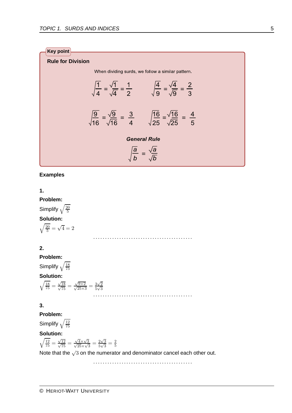

**Examples**

**1.**

**Problem:** Simplify  $\sqrt{\frac{20}{5}}$ 5 **Solution:**  $\sqrt{\frac{20}{5}} = \sqrt{4} = 2$ 

## **2.**

**Problem:** Simplify  $\sqrt{\frac{18}{75}}$ 

#### **Solution:**

$$
\sqrt{\frac{18}{75}} = \frac{\sqrt{18}}{\sqrt{75}} = \frac{\sqrt{9 \times 2}}{\sqrt{25 \times 3}} = \frac{3\sqrt{2}}{5\sqrt{3}}
$$

75

#### **3.**

**Problem:**

Simplify  $\sqrt{\frac{12}{75}}$ 75 **Solution:**

**Solution:**  

$$
\sqrt{\frac{12}{75}} = \frac{\sqrt{12}}{\sqrt{75}} = \frac{\sqrt{4} \times \sqrt{3}}{\sqrt{25} \times \sqrt{3}} = \frac{2\sqrt{3}}{5\sqrt{3}}
$$

 $\frac{2\sqrt{3}}{5\sqrt{3}} = \frac{2}{5}$ Note that the  $\sqrt{3}$  on the numerator and denominator cancel each other out.

..........................................

..........................................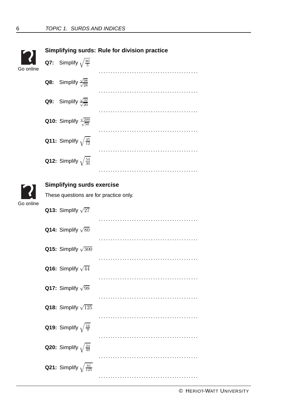<span id="page-9-1"></span><span id="page-9-0"></span>

|           | <b>Simplifying surds: Rule for division practice</b> |                                        |  |  |  |
|-----------|------------------------------------------------------|----------------------------------------|--|--|--|
| Go online | <b>Q7:</b> Simplify $\sqrt{\frac{80}{5}}$            |                                        |  |  |  |
|           | <b>Q8:</b> Simplify $\frac{\sqrt{98}}{\sqrt{28}}$    |                                        |  |  |  |
|           | <b>Q9:</b> Simplify $\frac{\sqrt{32}}{\sqrt{20}}$    |                                        |  |  |  |
|           | <b>Q10:</b> Simplify $\frac{\sqrt{200}}{\sqrt{50}}$  |                                        |  |  |  |
|           | <b>Q11:</b> Simplify $\sqrt{\frac{45}{12}}$          |                                        |  |  |  |
|           | <b>Q12:</b> Simplify $\sqrt{\frac{54}{30}}$          |                                        |  |  |  |
|           |                                                      |                                        |  |  |  |
|           | <b>Simplifying surds exercise</b>                    |                                        |  |  |  |
|           |                                                      | These questions are for practice only. |  |  |  |
| Go online | <b>Q13:</b> Simplify $\sqrt{27}$                     |                                        |  |  |  |
|           | <b>Q14:</b> Simplify $\sqrt{80}$                     |                                        |  |  |  |
|           | Q15: Simplify $\sqrt{300}$                           |                                        |  |  |  |
|           |                                                      |                                        |  |  |  |
|           | Q16: Simplify $\sqrt{44}$                            |                                        |  |  |  |
|           | <b>Q17:</b> Simplify $\sqrt{98}$                     |                                        |  |  |  |
|           | <b>Q18:</b> Simplify $\sqrt{125}$                    |                                        |  |  |  |
|           | <b>Q19:</b> Simplify $\sqrt{\frac{16}{9}}$           |                                        |  |  |  |
|           |                                                      |                                        |  |  |  |
|           | <b>Q20:</b> Simplify $\sqrt{\frac{24}{49}}$          |                                        |  |  |  |
|           | <b>Q21:</b> Simplify $\sqrt{\frac{81}{125}}$         |                                        |  |  |  |
|           |                                                      |                                        |  |  |  |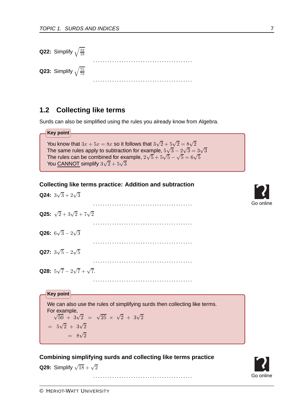| <b>Q22:</b> Simplify $\sqrt{\frac{32}{18}}$ |  |
|---------------------------------------------|--|
| <b>Q23:</b> Simplify $\sqrt{\frac{75}{72}}$ |  |

# **1.2 Collecting like terms**

Surds can also be simplified using the rules you already know from Algebra.

**Key point** You know that  $3x + 5x = 8x$  so it follows that  $3\sqrt{2} + 5\sqrt{2} = 8\sqrt{2}$ The same rules apply to subtraction for example,  $5\sqrt{3} - 2\sqrt{3} = 3\sqrt{3}$ The rules can be combined for example,  $2\sqrt{5} + 5\sqrt{5} - \sqrt{5} = 6\sqrt{5}$ You CANNOT simplify  $3\sqrt{2}+5\sqrt{3}$ 

<span id="page-10-0"></span>

| <b>Collecting like terms practice: Addition and subtraction</b> |  |  |  |  |
|-----------------------------------------------------------------|--|--|--|--|
|-----------------------------------------------------------------|--|--|--|--|

**Q24:**  $3\sqrt{3} + 2\sqrt{3}$ .......................................... **Q25:**  $\sqrt{2}+3\sqrt{2}+7\sqrt{2}$ .......................................... **Q26:**  $6\sqrt{3} - 2\sqrt{3}$ .......................................... **Q27:**  $3\sqrt{5} - 2\sqrt{5}$ .......................................... **Q28:**  $5\sqrt{7} - 2\sqrt{7} + \sqrt{7}$ . .......................................... **Key point** We can also use the rules of simplifying surds then collecting like terms. For example,  $\sqrt{50} + 3\sqrt{2} = \sqrt{25} \times \sqrt{2} + 3\sqrt{2}$  $= 5\sqrt{2} + 3\sqrt{2}$ 

#### <span id="page-10-1"></span>**Combining simplifying surds and collecting like terms practice**

**Q29:** Simplify  $\sqrt{18} + \sqrt{2}$ 

..........................................



 $= 8\sqrt{2}$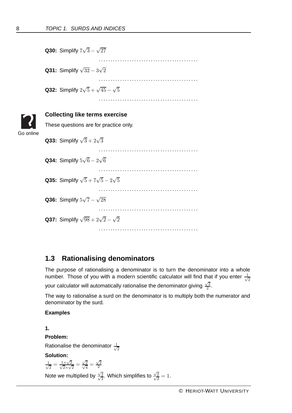<span id="page-11-0"></span>

|           | <b>Q30:</b> Simplify $7\sqrt{3} - \sqrt{27}$            |
|-----------|---------------------------------------------------------|
|           | <b>Q31:</b> Simplify $\sqrt{32} - 3\sqrt{2}$            |
|           | <b>Q32:</b> Simplify $2\sqrt{5} + \sqrt{45} - \sqrt{5}$ |
|           |                                                         |
|           | <b>Collecting like terms exercise</b>                   |
|           | These questions are for practice only.                  |
| Go online | <b>Q33:</b> Simplify $\sqrt{3} + 2\sqrt{3}$             |
|           | <b>Q34:</b> Simplify $5\sqrt{6} - 2\sqrt{6}$            |
|           | <b>Q35:</b> Simplify $\sqrt{5} + 7\sqrt{5} - 2\sqrt{5}$ |
|           | <b>Q36:</b> Simplify $5\sqrt{7}-\sqrt{28}$              |
|           | <b>Q37:</b> Simplify $\sqrt{98} + 2\sqrt{2} - \sqrt{2}$ |
|           |                                                         |

# **1.3 Rationalising denominators**

The purpose of rationalising a denominator is to turn the denominator into a whole number. Those of you with a modern scientific calculator will find that if you enter  $\frac{1}{\sqrt{2}}$ 2 your calculator will automatically rationalise the denominator giving  $\frac{\sqrt{2}}{2}.$ 

The way to rationalise a surd on the denominator is to multiply both the numerator and denominator by the surd.

 $\frac{\sqrt{2}}{\sqrt{2}}=1.$ 

#### **Examples**

**1.**

**Problem:**

Rationalise the denominator  $\frac{1}{\sqrt{2}}$ 2

**Solution:**

 $\frac{1}{\sqrt{2}} = \frac{1 \times \sqrt{2}}{\sqrt{2} \times \sqrt{2}}$  $\frac{1 \times \sqrt{2}}{\sqrt{2 \times 2}}$  $\frac{\times\sqrt{2}}{2\times\sqrt{2}}=\frac{\sqrt{2}}{\sqrt{2}}$  $\frac{\sqrt{2}}{\sqrt{4}} = \frac{\sqrt{2}}{2}$ 2 Note we multiplied by  $\frac{\sqrt{2}}{2}$  $\frac{\sqrt{2}}{\sqrt{2}}$ . Which simplifies to  $\frac{\sqrt{2}}{\sqrt{2}}$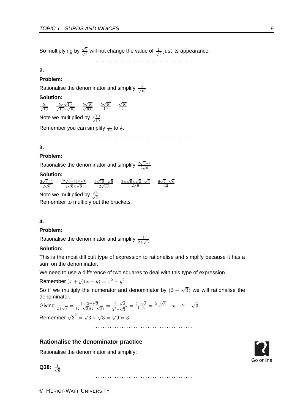So multiplying by  $\frac{\sqrt{3}}{2}$  $\frac{\sqrt{2}}{\sqrt{2}}$  will not change the value of  $\frac{1}{\sqrt{2}}$  just its appearance.

..........................................

## **2.**

## **Problem:**

Rationalise the denominator and simplify  $\frac{5}{\sqrt{4}}$ 10

## **Solution:**

$$
\frac{5}{\sqrt{10}} = \frac{5 \times \sqrt{10}}{\sqrt{10} \times \sqrt{10}} = \frac{5\sqrt{10}}{\sqrt{100}} = \frac{5\sqrt{10}}{10} = \frac{\sqrt{10}}{2}
$$

Note we multiplied by  $\frac{\sqrt{2}}{2}$  $\frac{\sqrt{10}}{\sqrt{10}}$ .

Remember you can simplify  $\frac{5}{10}$  to  $\frac{1}{2}$ .

..........................................

## **3.**

## **Problem:**

Rationalise the denominator and simplify  $\frac{2\sqrt{3}-1}{2\sqrt{6}}$ 

## **Solution:**

 $\frac{2\sqrt{3}-1}{2\sqrt{6}} = \frac{(2\sqrt{3}-1)\times\sqrt{6}}{2\sqrt{6}\times\sqrt{6}} = \frac{2\sqrt{18}-\sqrt{6}}{2\sqrt{36}}$  $\frac{\sqrt{18}-\sqrt{6}}{2\sqrt{36}} = \frac{2\times\sqrt{9}\times\sqrt{2}-\sqrt{6}}{2\times6} = \frac{6\sqrt{2}-\sqrt{6}}{12}$ 12

Note we multiplied by  $\frac{\sqrt{2}}{2}$  $\frac{\sqrt{6}}{\sqrt{6}}$ .

Remember to multiply out the brackets.

..........................................

## **4.**

## **Problem:**

Rationalise the denominator and simplify  $\frac{1}{2+\sqrt{3}}$ 

## **Solution:**

This is the most difficult type of expression to rationalise and simplify because it has a sum on the denominator.

We need to use a difference of two squares to deal with this type of expression.

Remember  $(x + y)(x - y) = x^2 - y^2$ 

So if we multiply the numerator and denominator by  $(2 - \sqrt{3})$  we will rationalise the denominator.

Giving  $\frac{1}{2+\sqrt{3}} = \frac{1 \times (2-\sqrt{3})}{(2+\sqrt{3})(2-\sqrt{3})} = \frac{2-\sqrt{3}}{2^2-\sqrt{3}^2} = \frac{2-\sqrt{3}}{4-3} = \frac{2-\sqrt{3}}{1}$  or  $2-\sqrt{3}$ Remember  $\sqrt{3}^2 = \sqrt{3} \times \sqrt{3} = \sqrt{9} = 3$ 

..........................................

# <span id="page-12-0"></span>**Rationalise the denominator practice**

Rationalise the denominator and simplify:

**Q38:** 
$$
\frac{1}{\sqrt{6}}
$$

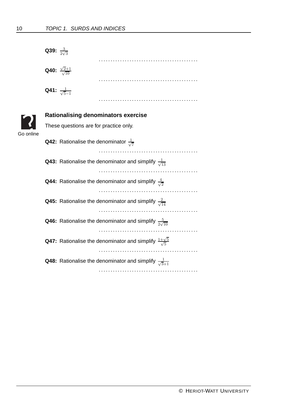<span id="page-13-0"></span>

|           | Q39: $\frac{3}{2\sqrt{3}}$                                                         |  |  |  |  |
|-----------|------------------------------------------------------------------------------------|--|--|--|--|
|           | .                                                                                  |  |  |  |  |
|           | <b>Q40:</b> $\frac{\sqrt{2}+1}{\sqrt{10}}$                                         |  |  |  |  |
|           |                                                                                    |  |  |  |  |
|           | <b>Q41:</b> $\frac{1}{\sqrt{5}-1}$                                                 |  |  |  |  |
|           |                                                                                    |  |  |  |  |
|           | <b>Rationalising denominators exercise</b>                                         |  |  |  |  |
| Go online | These questions are for practice only.                                             |  |  |  |  |
|           | <b>Q42:</b> Rationalise the denominator $\frac{1}{\sqrt{7}}$                       |  |  |  |  |
|           |                                                                                    |  |  |  |  |
|           | <b>Q43:</b> Rationalise the denominator and simplify $\frac{1}{\sqrt{13}}$         |  |  |  |  |
|           |                                                                                    |  |  |  |  |
|           | <b>Q44:</b> Rationalise the denominator and simplify $\frac{4}{\sqrt{2}}$          |  |  |  |  |
|           |                                                                                    |  |  |  |  |
|           | <b>Q45:</b> Rationalise the denominator and simplify $\frac{2}{\sqrt{14}}$         |  |  |  |  |
|           | <b>Q46:</b> Rationalise the denominator and simplify $\frac{5}{2\sqrt{10}}$        |  |  |  |  |
|           |                                                                                    |  |  |  |  |
|           | <b>Q47:</b> Rationalise the denominator and simplify $\frac{1+\sqrt{5}}{\sqrt{5}}$ |  |  |  |  |
|           |                                                                                    |  |  |  |  |
|           | <b>Q48:</b> Rationalise the denominator and simplify $\frac{1}{\sqrt{3}+1}$        |  |  |  |  |
|           |                                                                                    |  |  |  |  |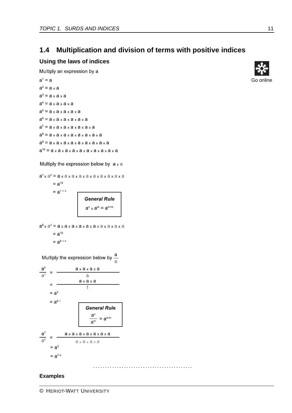# **1.4 Multiplication and division of terms with positive indices**

#### **Using the laws of indices**

Multiply an expression by a

```
a^1 = aa^2 = a \times aa^3 = a \times a \times aa^4 = a \times a \times a \times aa^5 = a \times a \times a \times a \times aa^6 = a \times a \times a \times a \times a \times aa^7 = a \times a \times a \times a \times a \times aa^8 = a \times a \times a \times a \times a \times a \times aa^9 = a \times a \times a \times a \times a \times a \times a \times aa^{10} = a \times a \times a \times a \times a \times a \times a \times a \times a
```
#### Multiply the expression below by  $a \times a$

$$
a1 \times a9 = a \times a \times a \times a \times a \times a \times a \times a \times a \times a \times a
$$
  
= a<sup>10</sup>  
= a<sup>1+9</sup>  
General Rule  

$$
an \times am = an+m
$$

$$
a6 x a4 = a x a x a x a x a x a x a x a x a
$$
  
= a<sup>10</sup>  
= a<sup>6+4</sup>

Multiply the expression below by  $\frac{a}{a}$ 

$$
\frac{a^{4}}{a^{1}} = \frac{a \times a \times a \times a}{a}
$$
\n
$$
= \frac{a \times a \times a}{1}
$$
\n
$$
= a^{3}
$$
\n
$$
= a^{4-1}
$$
\n
$$
\frac{a^{n}}{a^{n}} = a^{n-m}
$$
\n
$$
\frac{a^{7}}{a^{4}} = \frac{a \times a \times a \times a \times a \times a \times a}{a \times a \times a \times a \times a}
$$
\n
$$
= a^{3}
$$
\n
$$
= a^{7-4}
$$

#### ..........................................

#### **Examples**

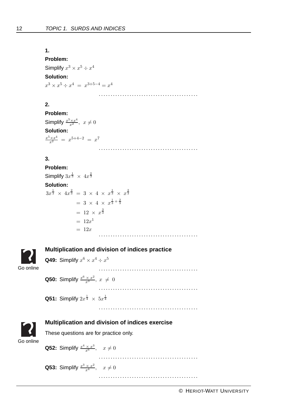#### **1.**

**Problem:** Simplify  $x^3 \times x^5 \div x^4$ **Solution:**  $x^3 \times x^5 \div x^4 = x^{3+5-4} = x^4$ 

..........................................

..........................................

# **2.**

**Problem:** Simplify  $\frac{x^5 \times x^4}{x^2}$ ,  $x \neq 0$ **Solution:**  $\frac{x^5 \times x^4}{x^2} = x^{5+4-2} = x^7$ 

## **3.**

**Problem:** Simplify  $3x^{\frac{1}{3}} \times 4x^{\frac{2}{3}}$ **Solution:**  $3x^{\frac{1}{3}} \times 4x^{\frac{2}{3}} = 3 \times 4 \times x^{\frac{1}{3}} \times x^{\frac{2}{3}}$  $= 3 \times 4 \times x^{\frac{1}{3} + \frac{2}{3}}$  $= 12 \times x^{\frac{3}{3}}$  $= 12x^1$ = 12*<sup>x</sup>* ..........................................



## <span id="page-15-0"></span>**Multiplication and division of indices practice**



**Q50:** Simplify  $\frac{x^6 \times x^2}{x^3}$ ,  $x \neq 0$ 

..........................................

**Q51:** Simplify  $2x^{\frac{1}{4}} \times 5x^{\frac{1}{4}}$ 



## <span id="page-15-1"></span>**Multiplication and division of indices exercise**

These questions are for practice only.



..........................................

**Q53:** Simplify  $\frac{x^3 \times x^2}{x^4}$ ,  $x \neq 0$ 

..........................................

..........................................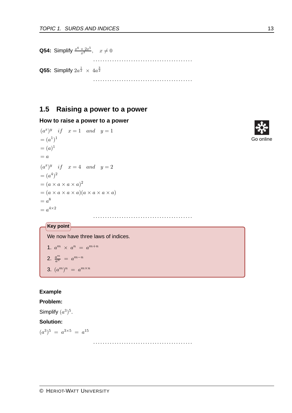**Q54:** Simplify  $\frac{x^6 \times 2x^5}{x^3}$ ,  $x \neq 0$ .......................................... **Q55:** Simplify  $2a^{\frac{1}{2}} \times 4a^{\frac{3}{2}}$ ..........................................

# **1.5 Raising a power to a power**

#### **How to raise a power to a power**

```
(a^x)^y if x = 1 and y = 1=(a^1)^1=(a)^{1}= a
(a^x)^y if x = 4 and y = 2=(a^4)^2=(a \times a \times a \times a)^2=(a \times a \times a \times a)(a \times a \times a \times a)= a^8= a^{4 \times 2}
```


# **Key point**

We now have three laws of indices.

1. 
$$
a^{m} \times a^{n} = a^{m+n}
$$
  
2. 
$$
\frac{a^{m}}{a^{n}} = a^{m-n}
$$
  
3. 
$$
(a^{m})^{n} = a^{m \times n}
$$

## **Example**

#### **Problem:**

Simplify  $(a^3)^5$ .

#### **Solution:**

 $(a^3)^5 = a^{3 \times 5} = a^{15}$ 

..........................................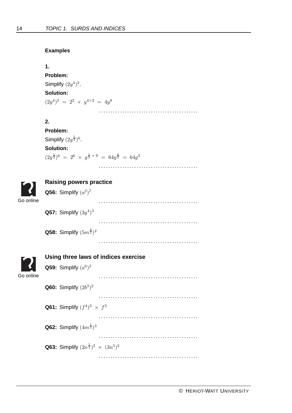#### **Examples**

<span id="page-17-0"></span>Go online

<span id="page-17-1"></span>Go online

```
1.
Problem:
Simplify (2y^4)^2.
Solution:
(2y^4)^2 = 2^2 \times y^{4 \times 2} = 4y^8..........................................
2.
Problem:
Simplify (2g^{\frac{1}{2}})^6.
Solution:
(2g^{\frac{1}{2}})^6 = 2^6 \times g^{\frac{1}{2} \times 6} = 64g^{\frac{6}{2}} = 64g^3..........................................
Raising powers practice
Q56: Simplify (a^2)^7..........................................
Q57: Simplify (3y^4)^3..........................................
Q58: Simplify (5m^{\frac{3}{2}})^2..........................................
Using three laws of indices exercise
Q59: Simplify (a^6)^2..........................................
Q60: Simplify (2b3)2
                           ..........................................
Q61: Simplify (f^4)^2 \times f^3..........................................
Q62: Simplify (4m^{\frac{1}{3}})^3..........................................
Q63: Simplify (2n^{\frac{1}{2}})^2 \times (3n^5)^2..........................................
```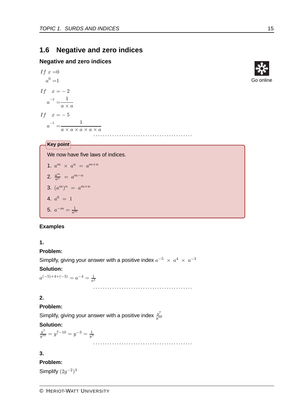# **1.6 Negative and zero indices**

## **Negative and zero indices**

$$
If \quad x = 0
$$
\n
$$
a^{0} = 1
$$
\n
$$
If \quad x = -2
$$
\n
$$
a^{-2} = \frac{1}{a \times a}
$$
\n
$$
If \quad x = -5
$$
\n
$$
a^{-5} = \frac{1}{a \times a \times a \times a \times a}
$$
\n
$$
\dots
$$



We now have five laws of indices.

$$
1. \, a^m \times a^n \, = \, a^{m+n}
$$

$$
2. \ \frac{a^m}{a^n} = a^{m-n}
$$

$$
3. \ (a^m)^n = a^{m \times n}
$$

4. 
$$
a^0 = 1
$$

5. 
$$
a^{-m} = \frac{1}{a^m}
$$

## **Examples**

## **1.**

## **Problem:**

Simplify, giving your answer with a positive index  $a^{-5} \times a^4 \times a^{-3}$ 

## **Solution:**

 $a^{(-5)+4+(-3)} = a^{-4} = \frac{1}{a^4}$ 

..........................................

..........................................

# **2.**

# **Problem:**

Simplify, giving your answer with a positive index  $\frac{y^7}{y^{10}}$ *y*10

# **Solution:**

 $y_1^7$  =  $y^{7-10}$  =  $y^{-3}$  =  $\frac{1}{y^3}$ 

## **3.**

# **Problem:**

Simplify  $(2g<sup>-2</sup>)<sup>3</sup>$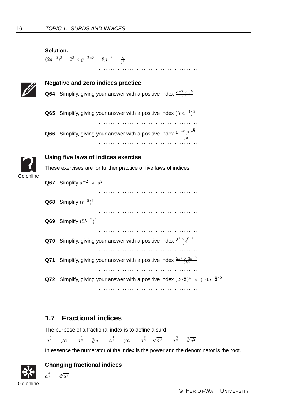# <span id="page-19-1"></span><span id="page-19-0"></span>**Solution:**  $(2g^{-2})^3 = 2^3 \times g^{-2 \times 3} = 8g^{-6} = \frac{8}{g^6}$ .......................................... **Negative and zero indices practice Q64:** Simplify, giving your answer with a positive index  $\frac{a^{-3} \times a^{5}}{a^{2}}$ *a*2 .......................................... **Q65:** Simplify, giving your answer with a positive index (3*m*−4)<sup>2</sup> .......................................... Q66: Simplify, giving your answer with a positive index  $\frac{y^{-10} \times y^{\frac{3}{2}}}{v^{\frac{1}{2}}}$ *y* .......................................... **Using five laws of indices exercise** Go online These exercises are for further practice of five laws of indices. **Q67:** Simplify  $a^{-2} \times a^2$ .......................................... **Q68:** Simplify (*t*−5)<sup>2</sup> .......................................... **Q69:** Simplify (5*b*−7)<sup>2</sup> .......................................... **Q70:** Simplify, giving your answer with a positive index  $\frac{f^3 \times f^{-8}}{f^2}$ *f*2 .......................................... **Q71:** Simplify, giving your answer with a positive index  $\frac{2k^5 \times 3k^{-7}}{6k^4}$  $6k<sup>4</sup>$ .......................................... **Q72:** Simplify, giving your answer with a positive index  $(2n^{\frac{1}{2}})^4 \times (10n^{-\frac{3}{2}})^2$ ..........................................

# **1.7 Fractional indices**

The purpose of a fractional index is to define a surd.

 $a^{\frac{1}{2}} = \sqrt{a}$   $a^{\frac{1}{3}} = \sqrt[3]{a}$   $a^{\frac{1}{4}} = \sqrt[4]{a}$   $a^{\frac{3}{2}} = \sqrt{a^3}$   $a^{\frac{2}{3}} = \sqrt[3]{a^2}$ 

In essence the numerator of the index is the power and the denominator is the root.



# **Changing fractional indices**

 $a^{\frac{x}{y}} = \sqrt[y]{a^x}$ 

Go online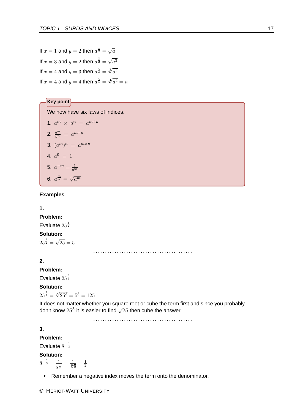If  $x = 1$  and  $y = 2$  then  $a^{\frac{1}{2}} = \sqrt{a}$ If  $x = 3$  and  $y = 2$  then  $a^{\frac{3}{2}} = \sqrt{a^3}$ If  $x = 4$  and  $y = 3$  then  $a^{\frac{4}{3}} = \sqrt[3]{a^4}$ If  $x = 4$  and  $y = 4$  then  $a^{\frac{4}{4}} = \sqrt[4]{a^4} = a$ 

..........................................

We now have six laws of indices.

1. 
$$
a^m \times a^n = a^{m+n}
$$
  
\n2.  $\frac{a^m}{a^n} = a^{m-n}$   
\n3.  $(a^m)^n = a^{m \times n}$   
\n4.  $a^0 = 1$   
\n5.  $a^{-m} = \frac{1}{a^m}$   
\n6.  $a^{\frac{m}{n}} = \sqrt[n]{a^m}$ 

**Key point**

#### **Examples**

#### **1.**

**Problem:**

Evaluate  $25^{\frac{1}{2}}$ 

# **Solution:**

 $25^{\frac{1}{2}} = \sqrt{25} = 5$ 

**2.**

### **Problem:**

Evaluate  $25^{\frac{3}{2}}$ 

#### **Solution:**

 $25^{\frac{3}{2}} = \sqrt[2]{25^3} = 5^3 = 125$ 

It does not matter whether you square root or cube the term first and since you probably don't know 25<sup>3</sup> it is easier to find  $\sqrt{25}$  then cube the answer.

..........................................

**3.**

## **Problem:**

Evaluate  $8^{-\frac{1}{3}}$ 

#### **Solution:**

 $8^{-\frac{1}{3}} = \frac{1}{8^{\frac{1}{3}}} = \frac{1}{\sqrt[3]{8}} = \frac{1}{2}$ 

• Remember a negative index moves the term onto the denominator.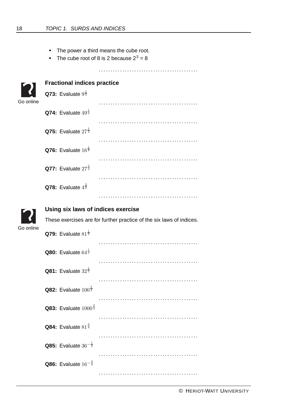- The power a third means the cube root.
- <span id="page-21-0"></span>• The cube root of 8 is 2 because  $2^3 = 8$

..........................................

..........................................

<span id="page-21-1"></span>

|           | <b>Fractional indices practice</b>        |                                                                      |  |  |  |
|-----------|-------------------------------------------|----------------------------------------------------------------------|--|--|--|
| Go online | <b>Q73:</b> Evaluate $9^{\frac{1}{2}}$    |                                                                      |  |  |  |
|           |                                           |                                                                      |  |  |  |
|           | <b>Q74:</b> Evaluate $49^{\frac{1}{2}}$   |                                                                      |  |  |  |
|           |                                           |                                                                      |  |  |  |
|           | Q75: Evaluate $27^{\frac{1}{3}}$          |                                                                      |  |  |  |
|           | <b>Q76:</b> Evaluate $16^{\frac{1}{4}}$   |                                                                      |  |  |  |
|           | <b>Q77:</b> Evaluate $27^{\frac{2}{3}}$   |                                                                      |  |  |  |
|           | <b>Q78:</b> Evaluate $4^{\frac{3}{2}}$    |                                                                      |  |  |  |
|           |                                           |                                                                      |  |  |  |
|           | Using six laws of indices exercise        |                                                                      |  |  |  |
|           |                                           | These exercises are for further practice of the six laws of indices. |  |  |  |
| Go online | Q79: Evaluate $81^{\frac{1}{2}}$          |                                                                      |  |  |  |
|           | <b>Q80:</b> Evaluate $64^{\frac{1}{3}}$   |                                                                      |  |  |  |
|           | <b>Q81:</b> Evaluate $32^{\frac{1}{5}}$   |                                                                      |  |  |  |
|           | <b>Q82:</b> Evaluate $100^{\frac{3}{2}}$  |                                                                      |  |  |  |
|           | <b>Q83:</b> Evaluate $1000^{\frac{2}{3}}$ |                                                                      |  |  |  |
|           | Q84: Evaluate $81^{\frac{3}{4}}$          |                                                                      |  |  |  |
|           | <b>Q85:</b> Evaluate $36^{-\frac{1}{2}}$  |                                                                      |  |  |  |
|           |                                           |                                                                      |  |  |  |

**Q86:** Evaluate 16<sup>- $\frac{3}{4}$ </sup>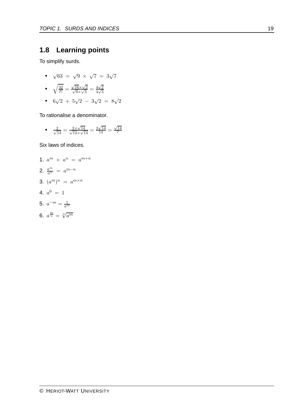# **1.8 Learning points**

To simplify surds.

•  $\sqrt{63} = \sqrt{9} \times \sqrt{7} = 3\sqrt{7}$ 

• 
$$
\sqrt{\frac{32}{27}} = \frac{\sqrt{16} \times \sqrt{2}}{\sqrt{9} \times \sqrt{3}} = \frac{4\sqrt{2}}{3\sqrt{3}}
$$

•  $6\sqrt{2} + 5\sqrt{2} - 3\sqrt{2} = 8\sqrt{2}$ 

To rationalise a denominator.

• 
$$
\frac{2}{\sqrt{14}} = \frac{2 \times \sqrt{14}}{\sqrt{14} \times \sqrt{14}} = \frac{2\sqrt{14}}{14} = \frac{\sqrt{14}}{7}
$$

Six laws of indices.

1. 
$$
a^m \times a^n = a^{m+n}
$$
  
\n2.  $\frac{a^m}{a^n} = a^{m-n}$   
\n3.  $(a^m)^n = a^{m \times n}$   
\n4.  $a^0 = 1$ 

5.  $a^{-m} = \frac{1}{a^m}$ 

**6.** 
$$
a^{\frac{m}{n}} = \sqrt[n]{a^m}
$$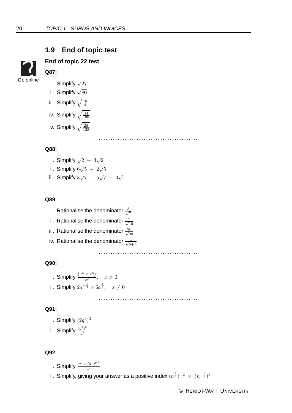# **1.9 End of topic test**



# <span id="page-23-0"></span>**End of topic 22 test Q87:**

i. Simplify  $\sqrt{27}$ ii. Simplify  $\sqrt{80}$ 

- iii. Simplify  $\sqrt{\frac{16}{4}}$ 4
- iv. Simplify  $\sqrt{\frac{44}{100}}$ 100
- v. Simplify  $\sqrt{\frac{28}{128}}$ 128

..........................................

#### **Q88:**

- i. Simplify  $\sqrt{2}+3\sqrt{2}$
- ii. Simplify  $6\sqrt{5} 2\sqrt{5}$
- iii. Simplify  $3\sqrt{7} 5\sqrt{7} + 4\sqrt{7}$ 
	- ..........................................

#### **Q89:**

- i. Rationalise the denominator  $\frac{3}{\sqrt{2}}$ 7
- ii. Rationalise the denominator  $\frac{2}{\sqrt{4}}$ 10
- iii. Rationalise the denominator  $\frac{20}{\sqrt{2}}$ 20
- iv. Rationalise the denominator  $\frac{1}{\sqrt{6}}$ 6+1

..........................................

..........................................

## **Q90:**

i. Simplify  $\frac{(x^5 \times x^6)}{x^2}$ ,  $x \neq 0$ . ii. Simplify  $2a^{-\frac{1}{3}} \times 6a^{\frac{4}{3}}, \quad x \neq 0$ 

i. Simplify 
$$
(2g^4)^3
$$

ii. Simplify 
$$
\frac{(y^3)^5}{y^2}
$$

..........................................

## **Q92:**

**Q91:**

- i. Simplify  $\frac{a^7 \times (a^{-2})^2}{a^3}$ *a*3
- ii. Simplify, giving your answer as a positive index  $(n^{\frac{1}{2}})^{-2} \,\times\, (n^{-\frac{3}{2}})^2$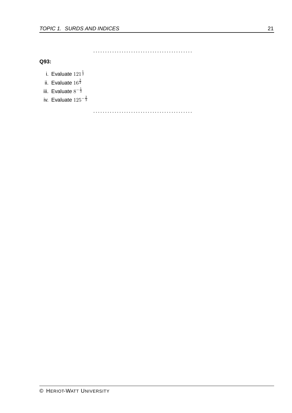..........................................

**Q93:**

- i. Evaluate  $121^{\frac{1}{2}}$
- ii. Evaluate  $16^{\frac{3}{2}}$
- iii. Evaluate  $8^{-\frac{1}{3}}$
- iv. Evaluate  $125^{-\frac{2}{3}}$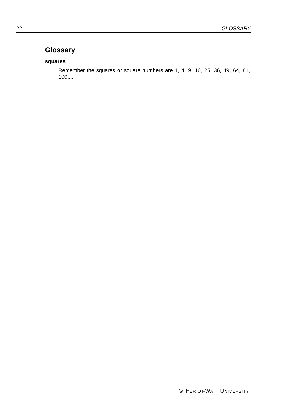# <span id="page-25-0"></span>**Glossary**

# **squares**

Remember the squares or square numbers are 1, 4, 9, 16, 25, 36, 49, 64, 81, 100,....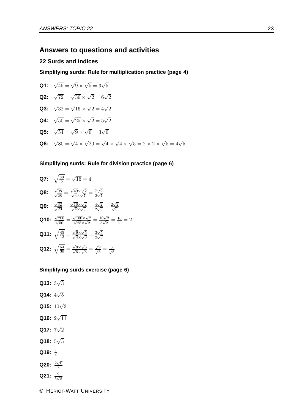# **Answers to questions and activities**

#### **22 Surds and indices**

**Simplifying surds: Rule for multiplication practice (page [4\)](#page-7-0)**

**Q1:** 
$$
\sqrt{45} = \sqrt{9} \times \sqrt{5} = 3\sqrt{5}
$$
  
\n**Q2:**  $\sqrt{72} = \sqrt{36} \times \sqrt{2} = 6\sqrt{2}$   
\n**Q3:**  $\sqrt{32} = \sqrt{16} \times \sqrt{2} = 4\sqrt{2}$   
\n**Q4:**  $\sqrt{50} = \sqrt{25} \times \sqrt{2} = 5\sqrt{2}$   
\n**Q5:**  $\sqrt{54} = \sqrt{9} \times \sqrt{6} = 3\sqrt{6}$   
\n**Q6:**  $\sqrt{80} = \sqrt{4} \times \sqrt{20} = \sqrt{4} \times \sqrt{4} \times \sqrt{5} = 2 \times 2 \times \sqrt{5} = 4\sqrt{5}$ 

# **Simplifying surds: Rule for division practice (page [6\)](#page-9-0)**

**Q7:** 
$$
\sqrt{\frac{80}{5}} = \sqrt{16} = 4
$$
  
\n**Q8:**  $\frac{\sqrt{98}}{\sqrt{28}} = \frac{\sqrt{49} \times \sqrt{2}}{\sqrt{4} \times \sqrt{7}} = \frac{7\sqrt{2}}{2\sqrt{7}}$   
\n**Q9:**  $\frac{\sqrt{32}}{\sqrt{20}} = \frac{\sqrt{16} \times \sqrt{2}}{\sqrt{4} \times \sqrt{5}} = \frac{4\sqrt{2}}{2\sqrt{5}} = \frac{2\sqrt{2}}{\sqrt{5}}$   
\n**Q10:**  $\frac{\sqrt{200}}{\sqrt{50}} = \frac{\sqrt{100} \times \sqrt{2}}{\sqrt{25} \times \sqrt{2}} = \frac{10\sqrt{2}}{5\sqrt{2}} = \frac{10}{5} = 2$   
\n**Q11:**  $\sqrt{\frac{45}{12}} = \frac{\sqrt{9} \times \sqrt{5}}{\sqrt{4} \times \sqrt{3}} = \frac{3\sqrt{5}}{2\sqrt{3}}$   
\n**Q12:**  $\sqrt{\frac{54}{30}} = \frac{\sqrt{9} \times \sqrt{6}}{\sqrt{5} \times \sqrt{6}} = \frac{\sqrt{9}}{\sqrt{5}} = \frac{3}{\sqrt{5}}$ 

#### **Simplifying surds exercise (page [6\)](#page-9-1)**

**Q13:** 3 √3 **Q14:** 4 √5

- **Q15:** <sup>10</sup>√<sup>3</sup>
- **Q16:**  $2\sqrt{11}$
- **Q17:**  $7\sqrt{2}$
- **Q18:** 5 √5
- Q19:  $\frac{4}{3}$
- **Q20:**  $\frac{2\sqrt{6}}{7}$ 7
- Q21:  $\frac{9}{5\sqrt{5}}$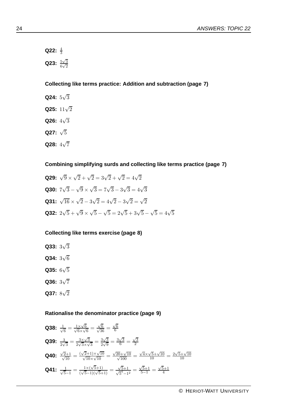**Q22:**  $\frac{4}{3}$ **Q23:**  $\frac{5\sqrt{3}}{6\sqrt{3}}$  $\frac{6}{6}\sqrt{2}$ 

**Collecting like terms practice: Addition and subtraction (page [7\)](#page-10-0)**

- **Q24:** 5 √3
- **Q25:** <sup>11</sup>√<sup>2</sup>
- **Q26:** 4 √3
- **Q27:** <sup>√</sup><sup>5</sup>
- **Q28:** 4√7

**Combining simplifying surds and collecting like terms practice (page [7\)](#page-10-1)**

**Q29:**  $\sqrt{9} \times \sqrt{2} + \sqrt{2} = 3\sqrt{2} + \sqrt{2} = 4\sqrt{2}$ **Q30:**  $7\sqrt{3} - \sqrt{9} \times \sqrt{3} = 7\sqrt{3} - 3\sqrt{3} = 4\sqrt{3}$ **Q31:**  $\sqrt{16} \times \sqrt{2} - 3\sqrt{2} = 4\sqrt{2} - 3\sqrt{2} = \sqrt{2}$ **Q32:**  $2\sqrt{5} + \sqrt{9} \times \sqrt{5} - \sqrt{5} = 2\sqrt{5} + 3\sqrt{5} - \sqrt{5} = 4\sqrt{5}$ 

## **Collecting like terms exercise (page [8\)](#page-11-0)**

**Q33:** 3 √3 **Q34:** 3 √6 **Q35:** 6 √5 **Q36:** 3 √7 **Q37:** 8 √2

#### **Rationalise the denominator practice (page [9\)](#page-12-0)**

**Q38:** 
$$
\frac{1}{\sqrt{6}} = \frac{1 \times \sqrt{6}}{\sqrt{6} \times \sqrt{6}} = \frac{\sqrt{6}}{\sqrt{36}} = \frac{\sqrt{6}}{6}
$$
  
\n**Q39:** 
$$
\frac{3}{2\sqrt{3}} = \frac{3 \times \sqrt{3}}{2\sqrt{3} \times \sqrt{3}} = \frac{3\sqrt{3}}{2\sqrt{9}} = \frac{3\sqrt{3}}{6} = \frac{\sqrt{3}}{2}
$$
  
\n**Q40:** 
$$
\frac{\sqrt{2}+1}{\sqrt{10}} = \frac{(\sqrt{2}+1) \times \sqrt{10}}{\sqrt{10} \times \sqrt{10}} = \frac{\sqrt{20}+\sqrt{10}}{\sqrt{100}} = \frac{\sqrt{4} \times \sqrt{5}+\sqrt{10}}{10} = \frac{2\sqrt{5}+\sqrt{10}}{10}
$$
  
\n**Q41:** 
$$
\frac{1}{\sqrt{5}-1} = \frac{1 \times (\sqrt{5}+1)}{(\sqrt{5}-1)(\sqrt{5}+1)} = \frac{\sqrt{5}+1}{\sqrt{5}^2-1^2} = \frac{\sqrt{5}+1}{5-1} = \frac{\sqrt{5}+1}{4}
$$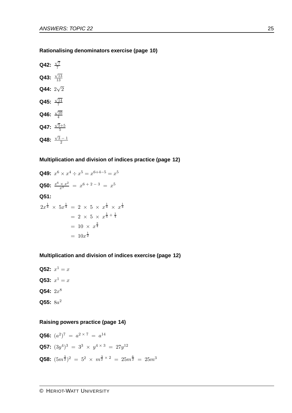#### **Rationalising denominators exercise (page [10\)](#page-13-0)**

**Q42:**  $\frac{\sqrt{7}}{7}$ 7 **Q43:**  $\frac{\sqrt{13}}{13}$ 13 **Q44:**  $2\sqrt{2}$ **Q45:**  $\frac{\sqrt{14}}{7}$ 7 **Q46:**  $\frac{\sqrt{10}}{4}$ 4 **Q47:**  $\frac{\sqrt{5}+5}{5}$ 5 **Q48:**  $\frac{\sqrt{3}-1}{2}$ 

#### **Multiplication and division of indices practice (page [12\)](#page-15-0)**

**Q49:**  $x^6 \times x^4 \div x^5 = x^{6+4-5} = x^5$ **Q50:**  $\frac{x^6 \times x^2}{x^3} = x^{6+2-3} = x^5$ **Q51:**  $2x^{\frac{1}{4}} \times 5x^{\frac{1}{4}} = 2 \times 5 \times x^{\frac{1}{4}} \times x^{\frac{1}{4}}$  $= 2 \times 5 \times x^{\frac{1}{4} + \frac{1}{4}}$  $= 10 \times x^{\frac{2}{4}}$  $= 10x^{\frac{1}{2}}$ 

#### **Multiplication and division of indices exercise (page [12\)](#page-15-1)**

**Q52:**  $x^1 = x$ **Q53:**  $x^1 = x$ **Q54:** 2*x*<sup>8</sup> **Q55:** 8*a*<sup>2</sup>

#### **Raising powers practice (page [14\)](#page-17-0)**

**Q56:** 
$$
(a^2)^7 = a^{2 \times 7} = a^{14}
$$
  
\n**Q57:**  $(3y^4)^3 = 3^3 \times y^{4 \times 3} = 27y^{12}$   
\n**Q58:**  $(5m^{\frac{3}{2}})^2 = 5^2 \times m^{\frac{3}{2} \times 2} = 25m^{\frac{6}{2}} = 25m^3$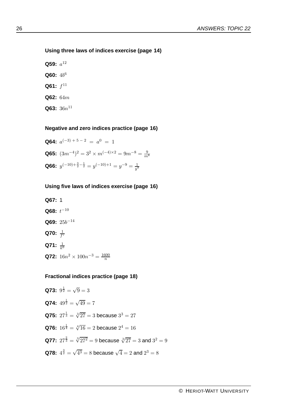## **Using three laws of indices exercise (page [14\)](#page-17-1)**

- **Q59:**  $a^{12}$ **Q60:** 4*b*<sup>6</sup>
- **Q61:**  $f^{11}$
- **Q62:** 64*m*
- $Q63: 36n^{11}$

# **Negative and zero indices practice (page [16\)](#page-19-0)**

**Q64:**  $a^{(-3)+5-2} = a^0 = 1$ **Q65:**  $(3m^{-4})^2 = 3^2 \times m^{(-4)\times 2} = 9m^{-8} = \frac{9}{m^8}$ **Q66:**  $y^{(-10)+\frac{3}{2}-\frac{1}{2}} = y^{(-10)+1} = y^{-9} = \frac{1}{y^9}$ 

# **Using five laws of indices exercise (page [16\)](#page-19-1)**

**Q67:** 1 **Q68:** *t*−<sup>10</sup> **Q69:** 25*b*−<sup>14</sup> **Q70:**  $\frac{1}{f^7}$ **Q71:**  $\frac{1}{k^6}$ **Q72:**  $16n^2 \times 100n^{-3} = \frac{1600}{n}$ 

## **Fractional indices practice (page [18\)](#page-21-0)**

**Q73:**  $9^{\frac{1}{2}} = \sqrt{9} = 3$ **Q74:**  $49^{\frac{1}{2}} = \sqrt{49} = 7$ **Q75:**  $27^{\frac{1}{3}} = \sqrt[3]{27} = 3$  because  $3^3 = 27$ **Q76:**  $16^{\frac{1}{4}} = \sqrt[4]{16} = 2$  because  $2^4 = 16$ **Q77:**  $27^{\frac{2}{3}} = \sqrt[3]{27^2} = 9$  because  $\sqrt[3]{27} = 3$  and  $3^2 = 9$ **Q78:**  $4^{\frac{3}{2}} = \sqrt{4^3} = 8$  because  $\sqrt{4} = 2$  and  $2^3 = 8$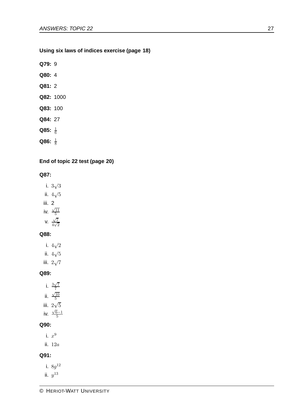## **Using six laws of indices exercise (page [18\)](#page-21-1)**

**Q79:** 9

- **Q80:** 4
- **Q81:** 2
- **Q82:** 1000
- **Q83:** 100
- **Q84:** 27
- **Q85:**  $\frac{1}{6}$
- **Q86:**  $\frac{1}{8}$

# **End of topic 22 test (page [20\)](#page-23-0)**

**Q87:**

- i. 3 √3 ii.  $4\sqrt{5}$ iii. 2 iv.  $\frac{\sqrt{11}}{5}$
- 5 v.  $\frac{\sqrt{7}}{4}$  $\frac{1}{4\sqrt{2}}$

## **Q88:**

- i. 4 √2
- ii.  $4\sqrt{5}$
- iii.  $2\sqrt{7}$

## **Q89:**

- i.  $\frac{3\sqrt{7}}{7}$ 7 ii.  $\frac{\sqrt{10}}{5}$ 5
- iii.  $2\sqrt{5}$
- iv.  $\frac{\sqrt{6}-1}{5}$

# **Q90:**

i.  $x^9$ 

ii. 12*a*

# **Q91:**

- i. 8*g*<sup>12</sup> ii.  $y^{13}$
- 
-